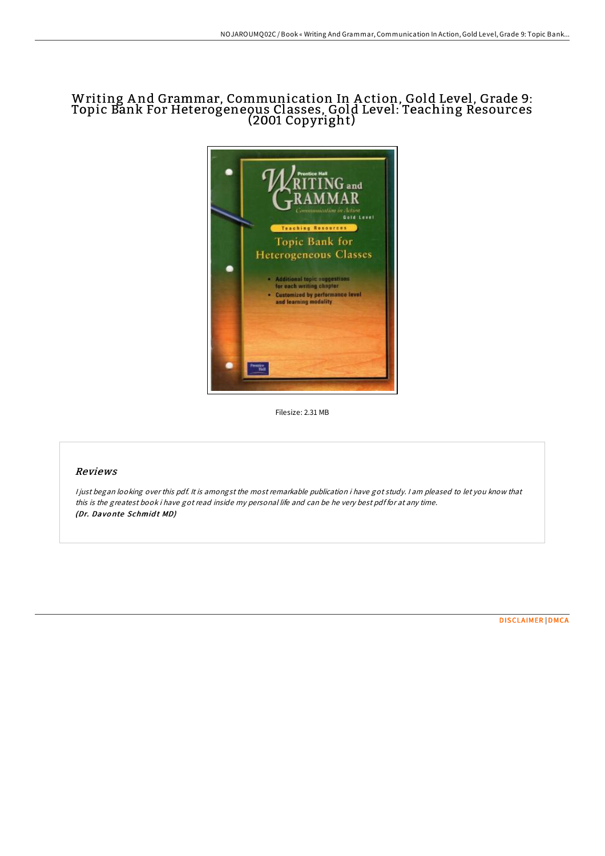# Writing A nd Grammar, Communication In A ction, Gold Level, Grade 9: Topic Bank For Heterogeneous Classes, Gold Level: Teaching Resources (2001 Copyright)



Filesize: 2.31 MB

# Reviews

<sup>I</sup> just began looking over this pdf. It is amongst the most remarkable publication i have got study. <sup>I</sup> am pleased to let you know that this is the greatest book i have got read inside my personal life and can be he very best pdf for at any time. (Dr. Davonte Schmidt MD)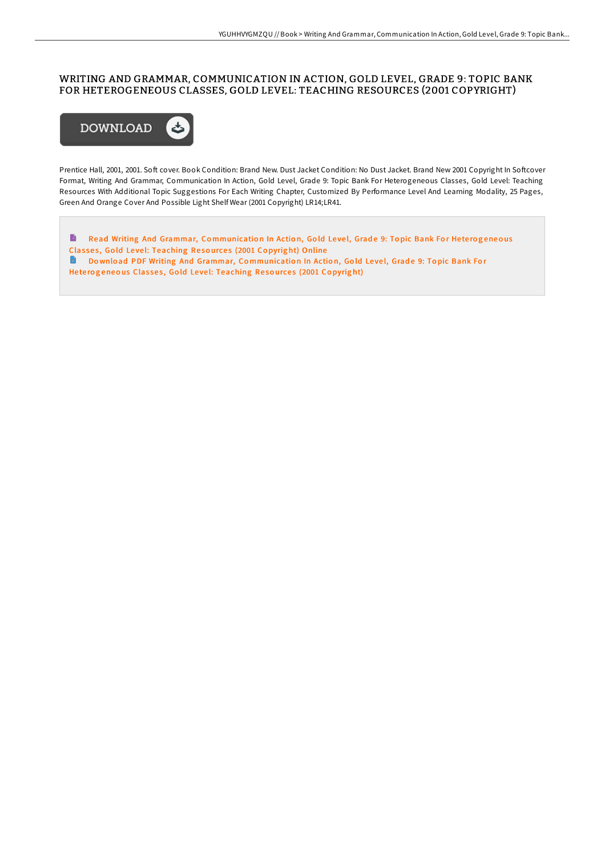# WRITING AND GRAMMAR, COMMUNICATION IN ACTION, GOLD LEVEL, GRADE 9: TOPIC BANK FOR HETEROGENEOUS CLASSES, GOLD LEVEL: TEACHING RESOURCES (2001 COPYRIGHT)



Prentice Hall, 2001, 2001. Soft cover. Book Condition: Brand New. Dust Jacket Condition: No Dust Jacket. Brand New 2001 Copyright In Softcover Format, Writing And Grammar, Communication In Action, Gold Level, Grade 9: Topic Bank For Heterogeneous Classes, Gold Level: Teaching Resources With Additional Topic Suggestions For Each Writing Chapter, Customized By Performance Level And Learning Modality, 25 Pages, Green And Orange Cover And Possible Light Shelf Wear (2001 Copyright) LR14;LR41.

 $\blacksquare$ Read Writing And Grammar, Co[mmunicatio](http://almighty24.tech/writing-and-grammar-communication-in-action-gold-2.html)n In Action, Gold Level, Grade 9: Topic Bank For Heterogeneous Classes, Gold Level: Teaching Resources (2001 Copyright) Online **Download PDF Writing And Grammar, Co[mmunicatio](http://almighty24.tech/writing-and-grammar-communication-in-action-gold-2.html)n In Action, Gold Level, Grade 9: Topic Bank For** Heterogeneous Classes, Gold Level: Teaching Resources (2001 Copyright)